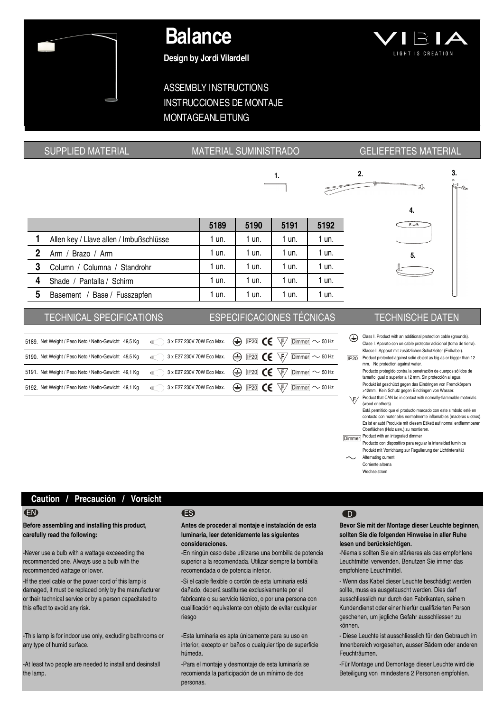## Balance

Design by Jordi Vilardell

# LIGHT IS CREATION

## ASSEMBLY INSTRUCTIONS INSTRUCCIONES DE MONTAJE MONTAGEANLEITUNG

### $2.$  3. 1. ă. e. 4. 5189 5190 5191 5192 1 Allen key / Llave allen / Imbußschlüsse | 1 un. | 1 un. | 1 un. | 1 un. 2 Arm / Brazo / Arm 1 un. 1 un. 1 un. 1 un. 1 un. 1 un. 5. **3** Column / Columna / Standrohr 1 un. 1 un. 1 un. 1 un. 1 un. 4 Shade / Pantalla / Schirm | 1 un. | 1 un. | 1 un. | 1 un. | 1 un. 5 Basement / Base / Fusszapfen | 1 un. | 1 un. | 1 un. | 1 un.

#### TECHNICAL SPECIFICATIONS ESPECIFICACIONES TÉCNICAS TECHNISCHE DATEN

| 5189. Net Weight / Peso Neto / Netto-Gewicht 49,5 Kg 3x E27 230V 70W Eco Max. (+ IP20) CE \F   Dimmer ~ 50 Hz                                                                                                          |                                                                                             |  |
|------------------------------------------------------------------------------------------------------------------------------------------------------------------------------------------------------------------------|---------------------------------------------------------------------------------------------|--|
| 5190. Net Weight / Peso Neto / Netto-Gewicht 49,5 Kg $\qquad \qquad$ 3 x E27 230V 70W Eco Max. $\qquad \qquad \bigoplus$ IP20 $\qquad \qquad \bullet$ $\qquad \qquad$ $\qquad \qquad$ $\qquad$ $\qquad$ $\qquad$ 50 Hz |                                                                                             |  |
| 5191. Net Weight / Peso Neto / Netto-Gewicht 49,1 Kg $\qquad \qquad$ 3 x E27 230V 70W Eco Max. $\qquad \qquad \bigoplus$ IP20 $\qquad \qquad \bullet$ $\qquad \qquad$ $\qquad \qquad$ $\qquad$ $\qquad$ $\qquad$ 50 Hz |                                                                                             |  |
| 5192. Net Weight / Peso Neto / Netto-Gewicht 49,1 Kg                                                                                                                                                                   | 3 x E27 230V 70W Eco Max. $\bigoplus$ IP20 CC $\overline{\mathfrak{h}}$ Dimmer $\sim$ 50 Hz |  |

### SUPPLIED MATERIAL MATERIAL MATERIAL SUMINISTRADO GELIEFERTES MATERIAL

- Class I. Product with an additional protection cable (grounds).  $\bigoplus$ Clase I. Aparato con un cable protector adicional (toma de tierra). Klasse I. Apparat mit zusätzlichen Schutzleiter (Erdkabel).
- Product protected against solid object as big as or bigger than 12 mm. No protection against water. Producto protegido contra la penetración de cuerpos sólidos de
	- tamaño igual o superior a 12 mm. Sin protección al agua. Produkt ist geschützt gegen das Eindringen von Fremdkörpern >12mm. Kein Schutz gegen Eindringen von Wasser.
- $\sqrt{F}$  Product that CAN be in contact with normally-flammable mate (wood or others).
- Está permitido que el producto marcado con este simbolo esté en contacto con materiales normalmente inflamables (maderas u otros). Es ist erlaubt Produkte mit diesem Etikett auf normal entflammbaren Oberflächen (Holz usw.) zu montieren. Dimmer Product with an integrated dimmer
- Producto con dispositivo para regular la intensidad lumínica Produkt mit Vorrichtung zur Regulierung der Lichtintensität Alternating current
	- Corriente alterna
	- Wechselstrom

#### Caution / Precaución / Vorsicht

Before assembling and installing this product, carefully read the following:

-Never use a bulb with a wattage exceeeding the recommended one. Always use a bulb with the recommended wattage or lower.

-If the steel cable or the power cord of this lamp is damaged, it must be replaced only by the manufacturer or their technical service or by a person capacitated to this effect to avoid any risk.

-This lamp is for indoor use only, excluding bathrooms or any type of humid surface.

-At least two people are needed to install and desinstall the lamp.

#### EN ES D

#### Antes de proceder al montaje e instalación de esta luminaria, leer detenidamente las siguientes consideraciones.

-En ningún caso debe utilizarse una bombilla de potencia superior a la recomendada. Utilizar siempre la bombilla recomendada o de potencia inferior.

-Si el cable flexible o cordón de esta luminaria está dañado, deberá sustituirse exclusivamente por el fabricante o su servicio técnico, o por una persona con cualificación equivalente con objeto de evitar cualquier riesgo

-Esta luminaria es apta únicamente para su uso en interior, excepto en baños o cualquier tipo de superficie húmeda.

-Para el montaje y desmontaje de esta luminaría se recomienda la participación de un mínimo de dos personas.

Bevor Sie mit der Montage dieser Leuchte beginnen, sollten Sie die folgenden Hinweise in aller Ruhe lesen und berücksichtigen.

-Niemals sollten Sie ein stärkeres als das empfohlene Leuchtmittel verwenden. Benutzen Sie immer das empfohlene Leuchtmittel.

- Wenn das Kabel dieser Leuchte beschädigt werden sollte, muss es ausgetauscht werden. Dies darf ausschliesslich nur durch den Fabrikanten, seinem Kundendienst oder einer hierfür qualifizierten Person geschehen, um jegliche Gefahr ausschliessen zu können.

- Diese Leuchte ist ausschliesslich für den Gebrauch im Innenbereich vorgesehen, ausser Bädern oder anderen Feuchträumen.

-Für Montage und Demontage dieser Leuchte wird die Beteiligung von mindestens 2 Personen empfohlen.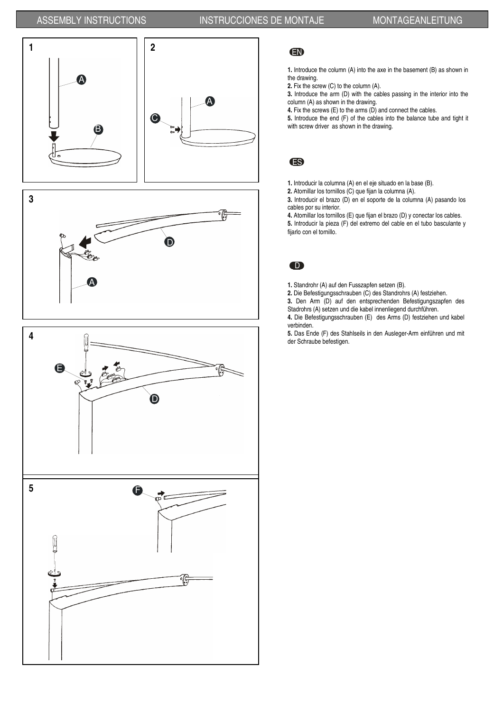





#### EN

1. Introduce the column (A) into the axe in the basement (B) as shown in the drawing.

2. Fix the screw (C) to the column (A).

3. Introduce the arm (D) with the cables passing in the interior into the column (A) as shown in the drawing.

4. Fix the screws  $(E)$  to the arms  $(D)$  and connect the cables.

5. Introduce the end (F) of the cables into the balance tube and tight it with screw driver as shown in the drawing.

#### ES

1. Introducir la columna (A) en el eje situado en la base (B).

2. Atornillar los tornillos (C) que fijan la columna (A).

3. Introducir el brazo (D) en el soporte de la columna (A) pasando los cables por su interior.

4. Atornillar los tornillos (E) que fijan el brazo (D) y conectar los cables. 5. Introducir la pieza (F) del extremo del cable en el tubo basculante y fijarlo con el tornillo.

## D

- 1. Standrohr (A) auf den Fusszapfen setzen (B).
- 2. Die Befestigungsschrauben (C) des Standrohrs (A) festziehen.
- 3. Den Arm (D) auf den entsprechenden Befestigungszapfen des Stadrohrs (A) setzen und die kabel innenliegend durchführen.

4. Die Befestigungsschrauben (E) des Arms (D) festziehen und kabel verbinden.

5. Das Ende (F) des Stahlseils in den Ausleger-Arm einführen und mit der Schraube befestigen.